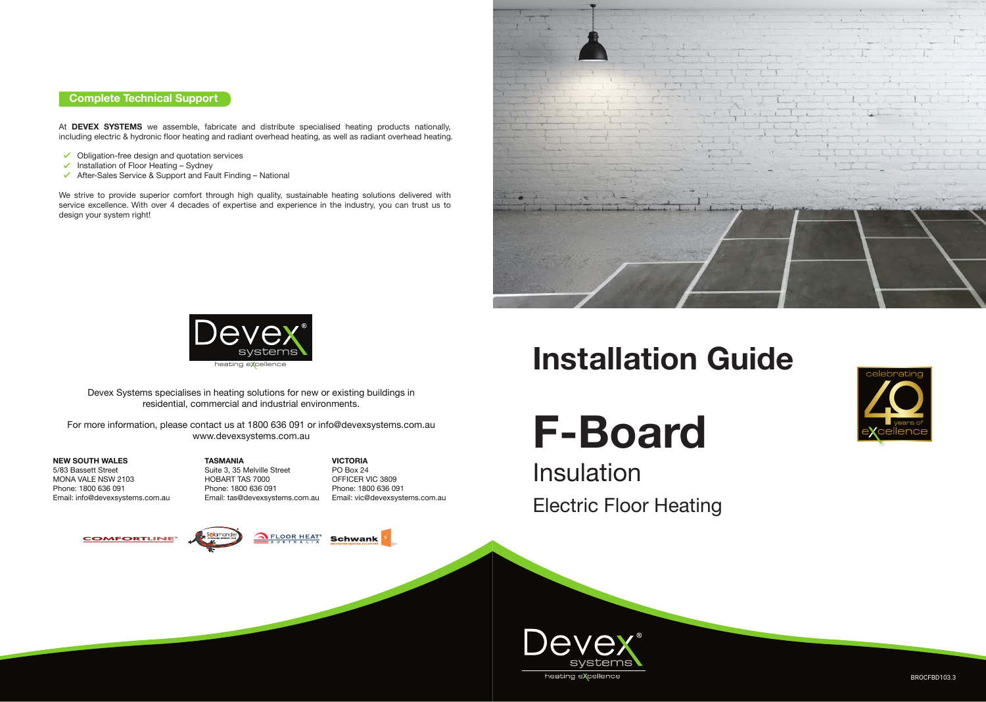At **DEVEX SYSTEMS** we assemble, fabricate and distribute specialised heating products nationally, including electric & hydronic floor heating and radiant overhead heating, as well as radiant overhead heating.

- $\checkmark$  Obligation-free design and quotation services
- $\checkmark$  Installation of Floor Heating Sydney
- After-Sales Service & Support and Fault Finding National

We strive to provide superior comfort through high quality, sustainable heating solutions delivered with service excellence. With over 4 decades of expertise and experience in the industry, you can trust us to design your system right!

#### **Complete Technical Support**

BROCFBD103.3



Devex Systems specialises in heating solutions for new or existing buildings in residential, commercial and industrial environments.

For more information, please contact us at 1800 636 091 or info@devexsystems.com.au www.devexsystems.com.au

#### **NEW SOUTH WALES**

5/83 Bassett Street MONA VALE NSW 2103 Phone: 1800 636 091 Email: info@devexsystems.com.au

**VICTORIA** PO Box 24 OFFICER VIC 3809 Phone: 1800 636 091 Email: vic@devexsystems.com.au









**TASMANIA** Suite 3, 35 Melville Street HOBART TAS 7000 Phone: 1800 636 091 Email: tas@devexsystems.com.au

## **Installation Guide**

# **F-Board**

Electric Floor Heating





Insulation